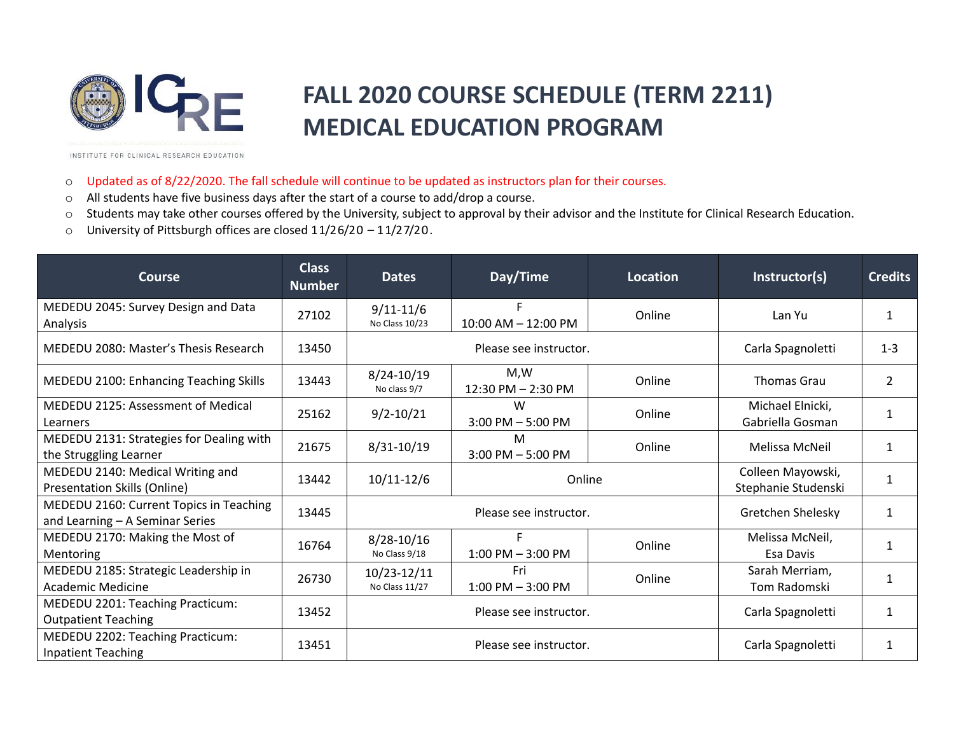

## **FALL 2020 COURSE SCHEDULE (TERM 2211) MEDICAL EDUCATION PROGRAM**

INSTITUTE FOR CLINICAL RESEARCH EDUCATION

- o Updated as of 8/22/2020. The fall schedule will continue to be updated as instructors plan for their courses.
- o All students have five business days after the start of a course to add/drop a course.
- o Students may take other courses offered by the University, subject to approval by their advisor and the Institute for Clinical Research Education.
- o University of Pittsburgh offices are closed 11/26/20 11/27/20.

| <b>Course</b>                                                              | <b>Class</b><br><b>Number</b> | <b>Dates</b>                    | Day/Time                    | Location | Instructor(s)                            | <b>Credits</b> |
|----------------------------------------------------------------------------|-------------------------------|---------------------------------|-----------------------------|----------|------------------------------------------|----------------|
| MEDEDU 2045: Survey Design and Data<br>Analysis                            | 27102                         | $9/11 - 11/6$<br>No Class 10/23 | 10:00 AM - 12:00 PM         | Online   | Lan Yu                                   | 1              |
| MEDEDU 2080: Master's Thesis Research                                      | 13450                         | Please see instructor.          |                             |          | Carla Spagnoletti                        | $1 - 3$        |
| MEDEDU 2100: Enhancing Teaching Skills                                     | 13443                         | 8/24-10/19<br>No class 9/7      | M,W<br>12:30 PM - 2:30 PM   | Online   | <b>Thomas Grau</b>                       | 2              |
| MEDEDU 2125: Assessment of Medical<br>Learners                             | 25162                         | $9/2 - 10/21$                   | W<br>$3:00$ PM $-5:00$ PM   | Online   | Michael Elnicki,<br>Gabriella Gosman     |                |
| MEDEDU 2131: Strategies for Dealing with<br>the Struggling Learner         | 21675                         | 8/31-10/19                      | м<br>$3:00$ PM $-5:00$ PM   | Online   | Melissa McNeil                           | 1              |
| MEDEDU 2140: Medical Writing and<br>Presentation Skills (Online)           | 13442                         | $10/11 - 12/6$                  | Online                      |          | Colleen Mayowski,<br>Stephanie Studenski | 1              |
| MEDEDU 2160: Current Topics in Teaching<br>and Learning - A Seminar Series | 13445                         | Please see instructor.          |                             |          | Gretchen Shelesky                        | 1              |
| MEDEDU 2170: Making the Most of<br>Mentoring                               | 16764                         | $8/28 - 10/16$<br>No Class 9/18 | $1:00$ PM $-3:00$ PM        | Online   | Melissa McNeil,<br>Esa Davis             | 1              |
| MEDEDU 2185: Strategic Leadership in<br>Academic Medicine                  | 26730                         | 10/23-12/11<br>No Class 11/27   | Fri<br>$1:00$ PM $-3:00$ PM | Online   | Sarah Merriam,<br>Tom Radomski           | 1              |
| MEDEDU 2201: Teaching Practicum:<br><b>Outpatient Teaching</b>             | 13452                         | Please see instructor.          |                             |          | Carla Spagnoletti                        | 1              |
| MEDEDU 2202: Teaching Practicum:<br><b>Inpatient Teaching</b>              | 13451                         | Please see instructor.          |                             |          | Carla Spagnoletti                        | 1              |